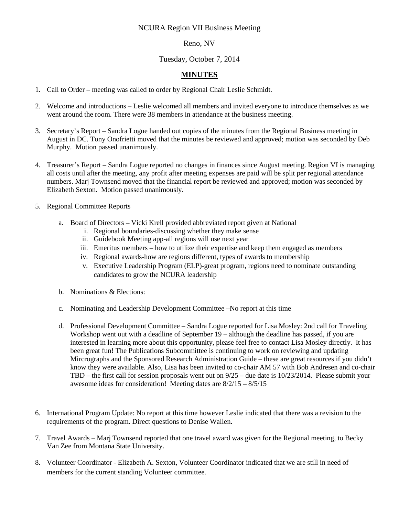## NCURA Region VII Business Meeting

## Reno, NV

## Tuesday, October 7, 2014

## **MINUTES**

- 1. Call to Order meeting was called to order by Regional Chair Leslie Schmidt.
- 2. Welcome and introductions Leslie welcomed all members and invited everyone to introduce themselves as we went around the room. There were 38 members in attendance at the business meeting.
- 3. Secretary's Report Sandra Logue handed out copies of the minutes from the Regional Business meeting in August in DC. Tony Onofrietti moved that the minutes be reviewed and approved; motion was seconded by Deb Murphy. Motion passed unanimously.
- 4. Treasurer's Report Sandra Logue reported no changes in finances since August meeting. Region VI is managing all costs until after the meeting, any profit after meeting expenses are paid will be split per regional attendance numbers. Marj Townsend moved that the financial report be reviewed and approved; motion was seconded by Elizabeth Sexton. Motion passed unanimously.
- 5. Regional Committee Reports
	- a. Board of Directors Vicki Krell provided abbreviated report given at National
		- i. Regional boundaries-discussing whether they make sense
		- ii. Guidebook Meeting app-all regions will use next year
		- iii. Emeritus members how to utilize their expertise and keep them engaged as members
		- iv. Regional awards-how are regions different, types of awards to membership
		- v. Executive Leadership Program (ELP)-great program, regions need to nominate outstanding candidates to grow the NCURA leadership
	- b. Nominations & Elections:
	- c. Nominating and Leadership Development Committee –No report at this time
	- d. Professional Development Committee Sandra Logue reported for Lisa Mosley: 2nd call for Traveling Workshop went out with a deadline of September 19 – although the deadline has passed, if you are interested in learning more about this opportunity, please feel free to contact Lisa Mosley directly. It has been great fun! The Publications Subcommittee is continuing to work on reviewing and updating Mircrographs and the Sponsored Research Administration Guide – these are great resources if you didn't know they were available. Also, Lisa has been invited to co-chair AM 57 with Bob Andresen and co-chair TBD – the first call for session proposals went out on 9/25 – due date is 10/23/2014. Please submit your awesome ideas for consideration! Meeting dates are 8/2/15 – 8/5/15
- 6. International Program Update: No report at this time however Leslie indicated that there was a revision to the requirements of the program. Direct questions to Denise Wallen.
- 7. Travel Awards Marj Townsend reported that one travel award was given for the Regional meeting, to Becky Van Zee from Montana State University.
- 8. Volunteer Coordinator Elizabeth A. Sexton, Volunteer Coordinator indicated that we are still in need of members for the current standing Volunteer committee.